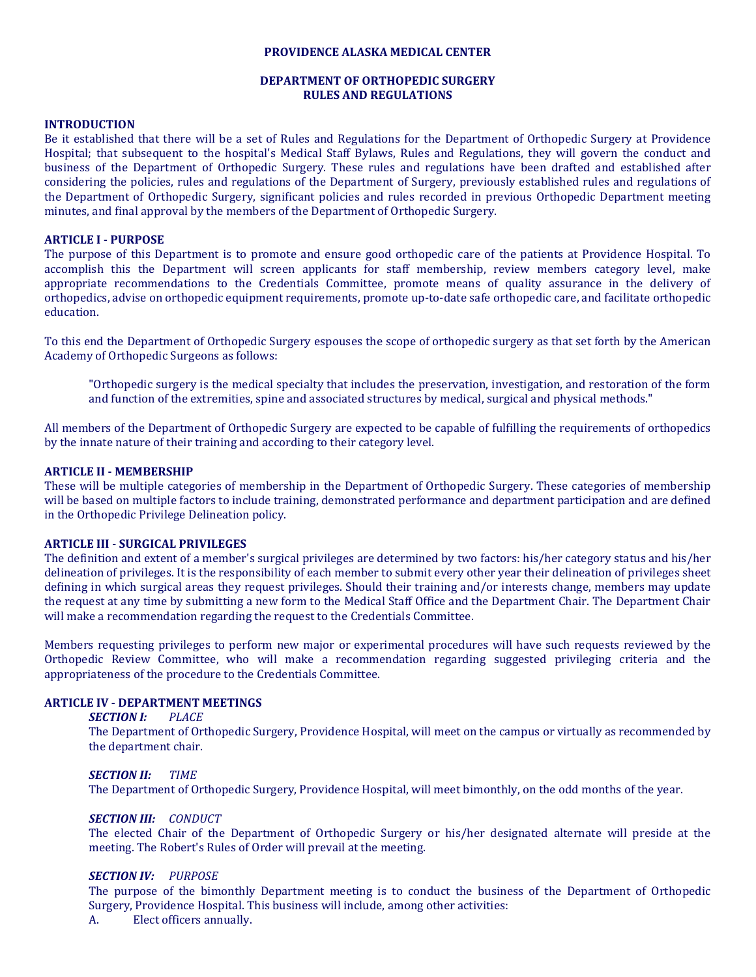#### **PROVIDENCE ALASKA MEDICAL CENTER**

### **DEPARTMENT OF ORTHOPEDIC SURGERY RULES AND REGULATIONS**

#### **INTRODUCTION**

Be it established that there will be a set of Rules and Regulations for the Department of Orthopedic Surgery at Providence Hospital; that subsequent to the hospital's Medical Staff Bylaws, Rules and Regulations, they will govern the conduct and business of the Department of Orthopedic Surgery. These rules and regulations have been drafted and established after considering the policies, rules and regulations of the Department of Surgery, previously established rules and regulations of the Department of Orthopedic Surgery, significant policies and rules recorded in previous Orthopedic Department meeting minutes, and final approval by the members of the Department of Orthopedic Surgery.

#### **ARTICLE I - PURPOSE**

The purpose of this Department is to promote and ensure good orthopedic care of the patients at Providence Hospital. To accomplish this the Department will screen applicants for staff membership, review members category level, make appropriate recommendations to the Credentials Committee, promote means of quality assurance in the delivery of orthopedics, advise on orthopedic equipment requirements, promote up-to-date safe orthopedic care, and facilitate orthopedic education.

To this end the Department of Orthopedic Surgery espouses the scope of orthopedic surgery as that set forth by the American Academy of Orthopedic Surgeons as follows:

"Orthopedic surgery is the medical specialty that includes the preservation, investigation, and restoration of the form and function of the extremities, spine and associated structures by medical, surgical and physical methods."

All members of the Department of Orthopedic Surgery are expected to be capable of fulfilling the requirements of orthopedics by the innate nature of their training and according to their category level.

#### **ARTICLE II - MEMBERSHIP**

These will be multiple categories of membership in the Department of Orthopedic Surgery. These categories of membership will be based on multiple factors to include training, demonstrated performance and department participation and are defined in the Orthopedic Privilege Delineation policy.

#### **ARTICLE III - SURGICAL PRIVILEGES**

The definition and extent of a member's surgical privileges are determined by two factors: his/her category status and his/her delineation of privileges. It is the responsibility of each member to submit every other year their delineation of privileges sheet defining in which surgical areas they request privileges. Should their training and/or interests change, members may update the request at any time by submitting a new form to the Medical Staff Office and the Department Chair. The Department Chair will make a recommendation regarding the request to the Credentials Committee.

Members requesting privileges to perform new major or experimental procedures will have such requests reviewed by the Orthopedic Review Committee, who will make a recommendation regarding suggested privileging criteria and the appropriateness of the procedure to the Credentials Committee.

### **ARTICLE IV - DEPARTMENT MEETINGS**

#### *SECTION I: PLACE*

The Department of Orthopedic Surgery, Providence Hospital, will meet on the campus or virtually as recommended by the department chair.

#### *SECTION II: TIME*

The Department of Orthopedic Surgery, Providence Hospital, will meet bimonthly, on the odd months of the year.

#### *SECTION III: CONDUCT*

The elected Chair of the Department of Orthopedic Surgery or his/her designated alternate will preside at the meeting. The Robert's Rules of Order will prevail at the meeting.

#### *SECTION IV: PURPOSE*

The purpose of the bimonthly Department meeting is to conduct the business of the Department of Orthopedic Surgery, Providence Hospital. This business will include, among other activities:<br>A. Elect officers annually.

Elect officers annually.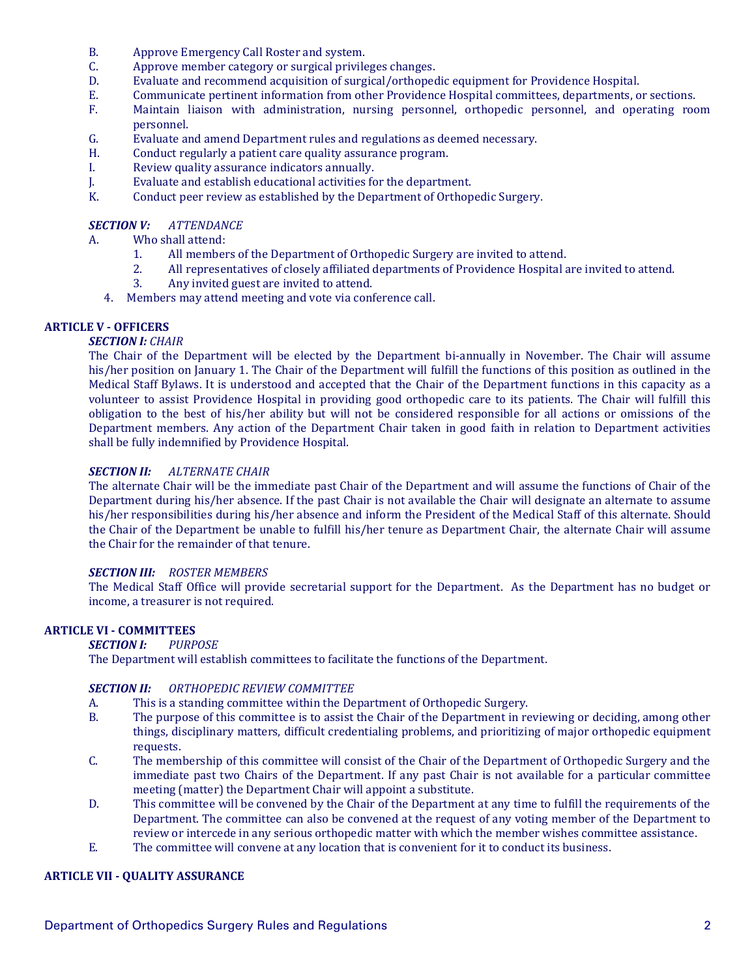- B. Approve Emergency Call Roster and system.<br>C. Approve member category or surgical privile
- C. Approve member category or surgical privileges changes.<br>D. Evaluate and recommend acquisition of surgical/orthoned
- D. Evaluate and recommend acquisition of surgical/orthopedic equipment for Providence Hospital.<br>E. Communicate pertinent information from other Providence Hospital committees, departments, o
- E. Communicate pertinent information from other Providence Hospital committees, departments, or sections.<br>F. Maintain liaison with administration, nursing personnel, orthopedic personnel, and operating roc
- Maintain liaison with administration, nursing personnel, orthopedic personnel, and operating room personnel.
- G. Evaluate and amend Department rules and regulations as deemed necessary.<br>H. Conduct regularly a patient care quality assurance program.
- H. Conduct regularly a patient care quality assurance program.<br>I. Review quality assurance indicators annually.
- I. Review quality assurance indicators annually.<br>
I. Byaluate and establish educational activities fo
- J. Evaluate and establish educational activities for the department.<br>
K. Conduct peer review as established by the Department of Orthop
- Conduct peer review as established by the Department of Orthopedic Surgery.

## *SECTION V: ATTENDANCE*

- A. Who shall attend:<br>1 All member
	- 1. All members of the Department of Orthopedic Surgery are invited to attend.<br>2. All representatives of closely affiliated departments of Providence Hospital a
	- 2. All representatives of closely affiliated departments of Providence Hospital are invited to attend.<br>3. Anv invited guest are invited to attend.
	- Any invited guest are invited to attend.
	- 4. Members may attend meeting and vote via conference call.

# **ARTICLE V - OFFICERS**

# *SECTION I: CHAIR*

The Chair of the Department will be elected by the Department bi-annually in November. The Chair will assume his/her position on January 1. The Chair of the Department will fulfill the functions of this position as outlined in the Medical Staff Bylaws. It is understood and accepted that the Chair of the Department functions in this capacity as a volunteer to assist Providence Hospital in providing good orthopedic care to its patients. The Chair will fulfill this obligation to the best of his/her ability but will not be considered responsible for all actions or omissions of the Department members. Any action of the Department Chair taken in good faith in relation to Department activities shall be fully indemnified by Providence Hospital.

## *SECTION II: ALTERNATE CHAIR*

The alternate Chair will be the immediate past Chair of the Department and will assume the functions of Chair of the Department during his/her absence. If the past Chair is not available the Chair will designate an alternate to assume his/her responsibilities during his/her absence and inform the President of the Medical Staff of this alternate. Should the Chair of the Department be unable to fulfill his/her tenure as Department Chair, the alternate Chair will assume the Chair for the remainder of that tenure.

### *SECTION III: ROSTER MEMBERS*

The Medical Staff Office will provide secretarial support for the Department. As the Department has no budget or income, a treasurer is not required.

# **ARTICLE VI - COMMITTEES**

### *SECTION I: PURPOSE*

The Department will establish committees to facilitate the functions of the Department.

# *SECTION II: ORTHOPEDIC REVIEW COMMITTEE*

- A. This is a standing committee within the Department of Orthopedic Surgery.<br>B. The purpose of this committee is to assist the Chair of the Department in re
- The purpose of this committee is to assist the Chair of the Department in reviewing or deciding, among other things, disciplinary matters, difficult credentialing problems, and prioritizing of major orthopedic equipment requests.
- C. The membership of this committee will consist of the Chair of the Department of Orthopedic Surgery and the immediate past two Chairs of the Department. If any past Chair is not available for a particular committee meeting (matter) the Department Chair will appoint a substitute.
- D. This committee will be convened by the Chair of the Department at any time to fulfill the requirements of the Department. The committee can also be convened at the request of any voting member of the Department to review or intercede in any serious orthopedic matter with which the member wishes committee assistance.
- E. The committee will convene at any location that is convenient for it to conduct its business.

### **ARTICLE VII - QUALITY ASSURANCE**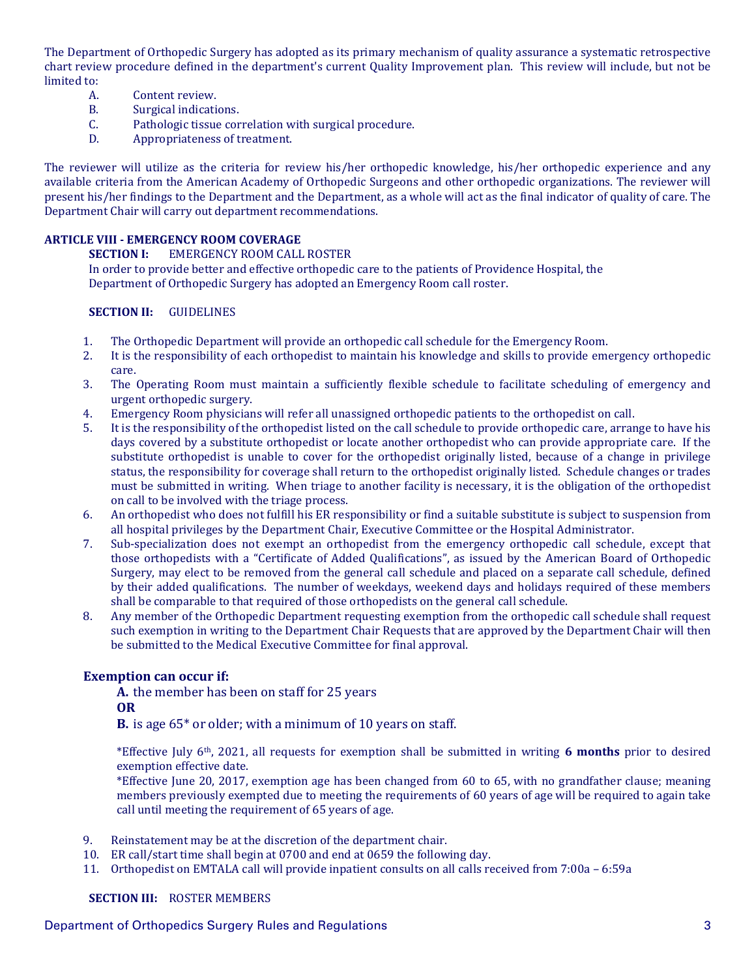The Department of Orthopedic Surgery has adopted as its primary mechanism of quality assurance a systematic retrospective chart review procedure defined in the department's current Quality Improvement plan. This review will include, but not be limited to:<br>A.

- A. Content review.<br>B. Surgical indication
- B. Surgical indications.<br>C. Pathologic tissue cor
- C. Pathologic tissue correlation with surgical procedure.<br>D. Appropriateness of treatment.
- Appropriateness of treatment.

The reviewer will utilize as the criteria for review his/her orthopedic knowledge, his/her orthopedic experience and any available criteria from the American Academy of Orthopedic Surgeons and other orthopedic organizations. The reviewer will present his/her findings to the Department and the Department, as a whole will act as the final indicator of quality of care. The Department Chair will carry out department recommendations.

# **ARTICLE VIII - EMERGENCY ROOM COVERAGE**

**SECTION I:** EMERGENCY ROOM CALL ROSTER

In order to provide better and effective orthopedic care to the patients of Providence Hospital, the Department of Orthopedic Surgery has adopted an Emergency Room call roster.

# **SECTION II:** GUIDELINES

- 1. The Orthopedic Department will provide an orthopedic call schedule for the Emergency Room.<br>2. It is the responsibility of each orthopedist to maintain his knowledge and skills to provide eme
- 2. It is the responsibility of each orthopedist to maintain his knowledge and skills to provide emergency orthopedic care.
- 3. The Operating Room must maintain a sufficiently flexible schedule to facilitate scheduling of emergency and urgent orthopedic surgery.
- 4. Emergency Room physicians will refer all unassigned orthopedic patients to the orthopedist on call.<br>5. It is the responsibility of the orthopedist listed on the call schedule to provide orthopedic care, arran
- 5. It is the responsibility of the orthopedist listed on the call schedule to provide orthopedic care, arrange to have his days covered by a substitute orthopedist or locate another orthopedist who can provide appropriate care. If the substitute orthopedist is unable to cover for the orthopedist originally listed, because of a change in privilege status, the responsibility for coverage shall return to the orthopedist originally listed. Schedule changes or trades must be submitted in writing. When triage to another facility is necessary, it is the obligation of the orthopedist on call to be involved with the triage process.
- 6. An orthopedist who does not fulfill his ER responsibility or find a suitable substitute is subject to suspension from all hospital privileges by the Department Chair, Executive Committee or the Hospital Administrator.
- 7. Sub-specialization does not exempt an orthopedist from the emergency orthopedic call schedule, except that those orthopedists with a "Certificate of Added Qualifications", as issued by the American Board of Orthopedic Surgery, may elect to be removed from the general call schedule and placed on a separate call schedule, defined by their added qualifications. The number of weekdays, weekend days and holidays required of these members shall be comparable to that required of those orthopedists on the general call schedule.
- 8. Any member of the Orthopedic Department requesting exemption from the orthopedic call schedule shall request such exemption in writing to the Department Chair Requests that are approved by the Department Chair will then be submitted to the Medical Executive Committee for final approval.

# **Exemption can occur if:**

**A.** the member has been on staff for 25 years

# **OR**

**B.** is age 65\* or older; with a minimum of 10 years on staff.

\*Effective July 6th, 2021, all requests for exemption shall be submitted in writing **6 months** prior to desired exemption effective date.

\*Effective June 20, 2017, exemption age has been changed from 60 to 65, with no grandfather clause; meaning members previously exempted due to meeting the requirements of 60 years of age will be required to again take call until meeting the requirement of 65 years of age.

- 9. Reinstatement may be at the discretion of the department chair.
- 10. ER call/start time shall begin at 0700 and end at 0659 the following day.
- 11. Orthopedist on EMTALA call will provide inpatient consults on all calls received from 7:00a 6:59a

## **SECTION III:** ROSTER MEMBERS